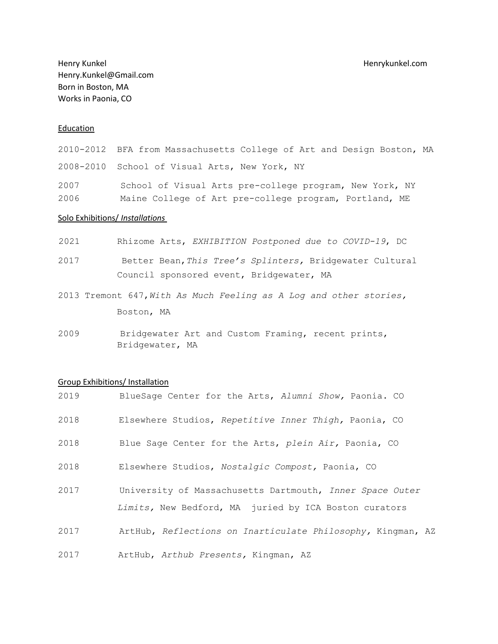Henry Kunkel Henrykunkel.com Henry.Kunkel@Gmail.com Born in Boston, MA Works in Paonia, CO

# Education

2010-2012 BFA from Massachusetts College of Art and Design Boston, MA 2008-2010 School of Visual Arts, New York, NY 2007 School of Visual Arts pre-college program, New York, NY 2006 Maine College of Art pre-college program, Portland, ME

### Solo Exhibitions/ *Installations*

2021 Rhizome Arts, *EXHIBITION Postponed due to COVID-19*, DC

2017 Better Bean,*This Tree's Splinters,* Bridgewater Cultural Council sponsored event, Bridgewater, MA

- 2013 Tremont 647,*With As Much Feeling as A Log and other stories,*  Boston, MA
- 2009 Bridgewater Art and Custom Framing, recent prints, Bridgewater, MA

#### Group Exhibitions/ Installation

| 2019 | BlueSage Center for the Arts, Alumni Show, Paonia. CO                                                             |  |  |
|------|-------------------------------------------------------------------------------------------------------------------|--|--|
| 2018 | Elsewhere Studios, Repetitive Inner Thigh, Paonia, CO                                                             |  |  |
| 2018 | Blue Sage Center for the Arts, plein Air, Paonia, CO                                                              |  |  |
| 2018 | Elsewhere Studios, Nostalgic Compost, Paonia, CO                                                                  |  |  |
| 2017 | University of Massachusetts Dartmouth, Inner Space Outer<br>Limits, New Bedford, MA juried by ICA Boston curators |  |  |
| 2017 | ArtHub, Reflections on Inarticulate Philosophy, Kingman, AZ                                                       |  |  |
| 2017 | ArtHub, Arthub Presents, Kingman, AZ                                                                              |  |  |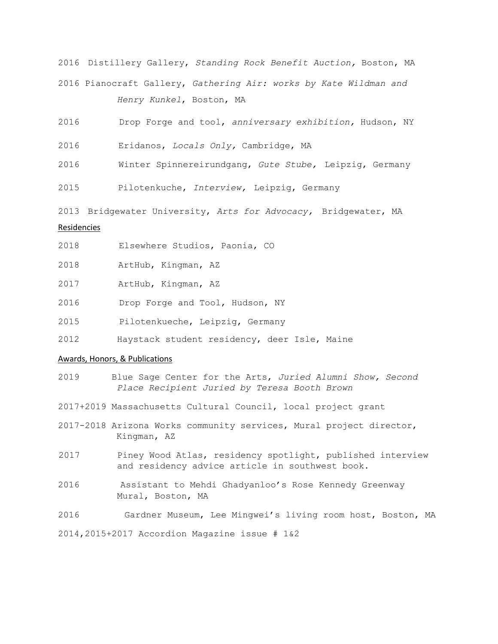2016 Distillery Gallery, *Standing Rock Benefit Auction,* Boston, MA 2016 Pianocraft Gallery, *Gathering Air: works by Kate Wildman and Henry Kunkel*, Boston, MA

2016 Drop Forge and tool, *anniversary exhibition,* Hudson, NY

2016 Eridanos, *Locals Only,* Cambridge, MA

2016 Winter Spinnereirundgang, *Gute Stube,* Leipzig, Germany

2015 Pilotenkuche, *Interview,* Leipzig, Germany

2013 Bridgewater University, *Arts for Advocacy,* Bridgewater, MA

# Residencies

2018 Elsewhere Studios, Paonia, CO

| 2018 |  | ArtHub, Kingman, AZ |  |
|------|--|---------------------|--|
|------|--|---------------------|--|

2017 ArtHub, Kingman, AZ

2016 Drop Forge and Tool, Hudson, NY

2015 Pilotenkueche, Leipzig, Germany

2012 Haystack student residency, deer Isle, Maine

# Awards, Honors, & Publications

- 2019 Blue Sage Center for the Arts, *Juried Alumni Show, Second Place Recipient Juried by Teresa Booth Brown*
- 2017+2019 Massachusetts Cultural Council, local project grant
- 2017-2018 Arizona Works community services, Mural project director, Kingman, AZ
- 2017 Piney Wood Atlas, residency spotlight, published interview and residency advice article in southwest book.
- 2016 Assistant to Mehdi Ghadyanloo's Rose Kennedy Greenway Mural, Boston, MA
- 2016 Gardner Museum, Lee Mingwei's living room host, Boston, MA

2014,2015+2017 Accordion Magazine issue # 1&2